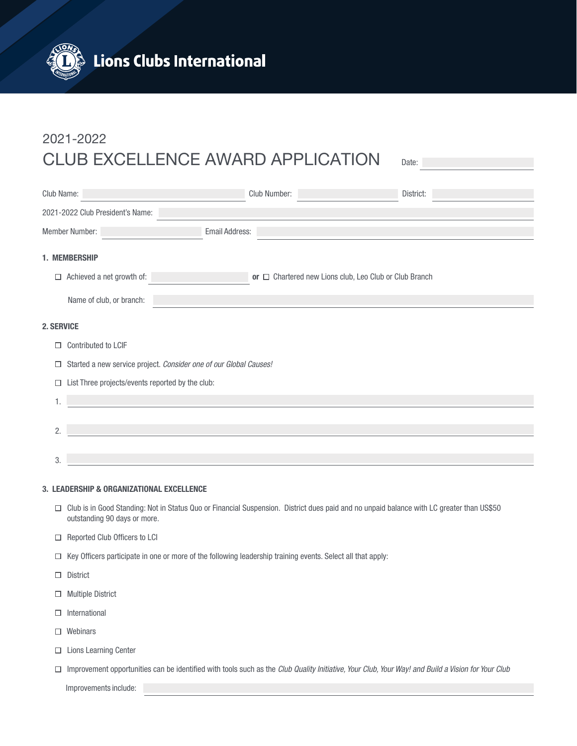

## 2021-2022 CLUB EXCELLENCE AWARD APPLICATION Date:

| Club Name:                                |                                                                   | Club Number:          | District:                                                   |  |  |  |  |  |
|-------------------------------------------|-------------------------------------------------------------------|-----------------------|-------------------------------------------------------------|--|--|--|--|--|
| 2021-2022 Club President's Name:          |                                                                   |                       |                                                             |  |  |  |  |  |
| <b>Member Number:</b>                     |                                                                   | <b>Email Address:</b> |                                                             |  |  |  |  |  |
| 1. MEMBERSHIP                             |                                                                   |                       |                                                             |  |  |  |  |  |
|                                           | $\Box$ Achieved a net growth of:                                  |                       | or $\Box$ Chartered new Lions club, Leo Club or Club Branch |  |  |  |  |  |
|                                           | Name of club, or branch:                                          |                       |                                                             |  |  |  |  |  |
| <b>2. SERVICE</b>                         |                                                                   |                       |                                                             |  |  |  |  |  |
| $\Box$                                    | Contributed to LCIF                                               |                       |                                                             |  |  |  |  |  |
| □                                         | Started a new service project. Consider one of our Global Causes! |                       |                                                             |  |  |  |  |  |
| □                                         | List Three projects/events reported by the club:                  |                       |                                                             |  |  |  |  |  |
| 1.                                        |                                                                   |                       |                                                             |  |  |  |  |  |
|                                           |                                                                   |                       |                                                             |  |  |  |  |  |
| 2.                                        |                                                                   |                       |                                                             |  |  |  |  |  |
| 3.                                        |                                                                   |                       |                                                             |  |  |  |  |  |
| 3. LEADERSHIP & ORGANIZATIONAL EXCELLENCE |                                                                   |                       |                                                             |  |  |  |  |  |

- Club is in Good Standing: Not in Status Quo or Financial Suspension. District dues paid and no unpaid balance with LC greater than US\$50 outstanding 90 days or more.
- $\Box$  Reported Club Officers to LCI
- $\Box$  Key Officers participate in one or more of the following leadership training events. Select all that apply:
- □ District
- Multiple District
- $\Box$  International
- □ Webinars
- □ Lions Learning Center
- $\Box$  Improvement opportunities can be identified with tools such as the *Club Quality Initiative, Your Club, Your Way! and Build a Vision for Your Club*

Improvements include: